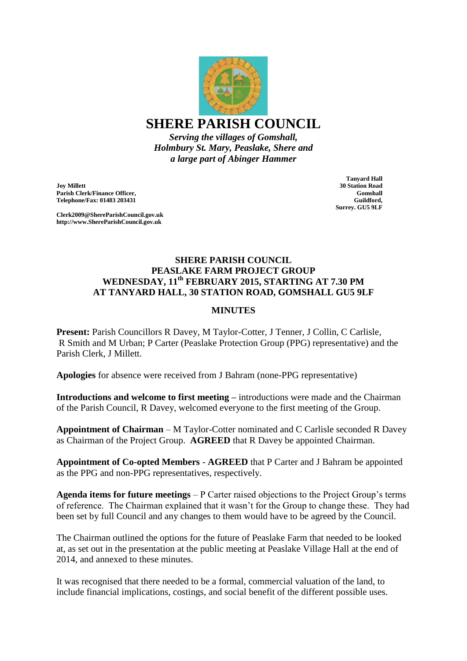

**SHERE PARISH COUNCIL**

*Serving the villages of Gomshall, Holmbury St. Mary, Peaslake, Shere and a large part of Abinger Hammer*

**Joy Millett Parish Clerk/Finance Officer, Telephone/Fax: 01483 203431**

**Clerk2009@ShereParishCouncil.gov.uk http://www.ShereParishCouncil.gov.uk**

**Tanyard Hall 30 Station Road Gomshall Guildford, Surrey. GU5 9LF**

## **SHERE PARISH COUNCIL PEASLAKE FARM PROJECT GROUP WEDNESDAY, 11th FEBRUARY 2015, STARTING AT 7.30 PM AT TANYARD HALL, 30 STATION ROAD, GOMSHALL GU5 9LF**

## **MINUTES**

**Present:** Parish Councillors R Davey, M Taylor-Cotter, J Tenner, J Collin, C Carlisle, R Smith and M Urban; P Carter (Peaslake Protection Group (PPG) representative) and the Parish Clerk, J Millett.

**Apologies** for absence were received from J Bahram (none-PPG representative)

**Introductions and welcome to first meeting –** introductions were made and the Chairman of the Parish Council, R Davey, welcomed everyone to the first meeting of the Group.

**Appointment of Chairman** – M Taylor-Cotter nominated and C Carlisle seconded R Davey as Chairman of the Project Group. **AGREED** that R Davey be appointed Chairman.

**Appointment of Co-opted Members** - **AGREED** that P Carter and J Bahram be appointed as the PPG and non-PPG representatives, respectively.

**Agenda items for future meetings** – P Carter raised objections to the Project Group's terms of reference. The Chairman explained that it wasn't for the Group to change these. They had been set by full Council and any changes to them would have to be agreed by the Council.

The Chairman outlined the options for the future of Peaslake Farm that needed to be looked at, as set out in the presentation at the public meeting at Peaslake Village Hall at the end of 2014, and annexed to these minutes.

It was recognised that there needed to be a formal, commercial valuation of the land, to include financial implications, costings, and social benefit of the different possible uses.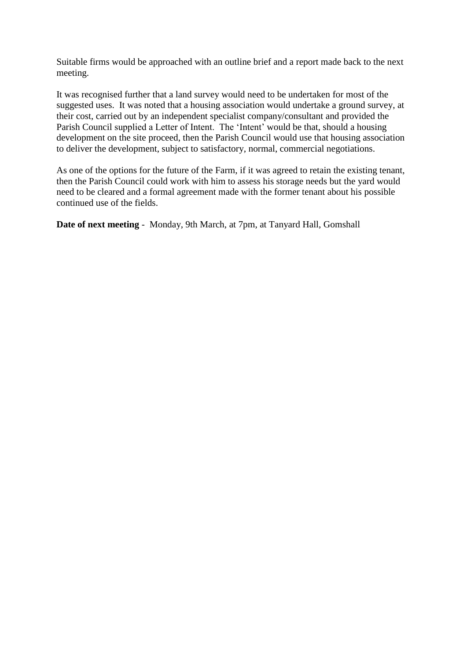Suitable firms would be approached with an outline brief and a report made back to the next meeting.

It was recognised further that a land survey would need to be undertaken for most of the suggested uses. It was noted that a housing association would undertake a ground survey, at their cost, carried out by an independent specialist company/consultant and provided the Parish Council supplied a Letter of Intent. The 'Intent' would be that, should a housing development on the site proceed, then the Parish Council would use that housing association to deliver the development, subject to satisfactory, normal, commercial negotiations.

As one of the options for the future of the Farm, if it was agreed to retain the existing tenant, then the Parish Council could work with him to assess his storage needs but the yard would need to be cleared and a formal agreement made with the former tenant about his possible continued use of the fields.

**Date of next meeting** - Monday, 9th March, at 7pm, at Tanyard Hall, Gomshall